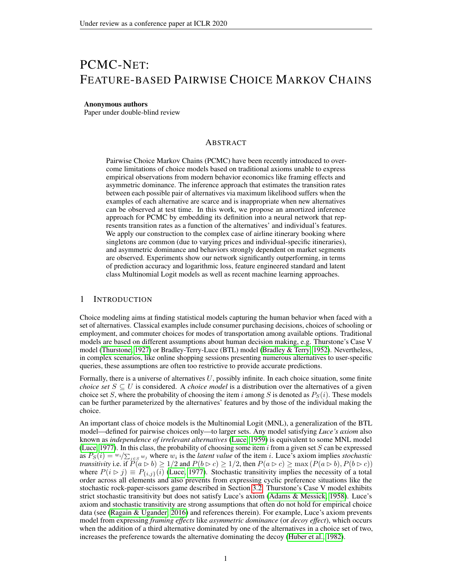# PCMC-NET: FEATURE-BASED PAIRWISE CHOICE MARKOV CHAINS

#### Anonymous authors

Paper under double-blind review

# ABSTRACT

Pairwise Choice Markov Chains (PCMC) have been recently introduced to overcome limitations of choice models based on traditional axioms unable to express empirical observations from modern behavior economics like framing effects and asymmetric dominance. The inference approach that estimates the transition rates between each possible pair of alternatives via maximum likelihood suffers when the examples of each alternative are scarce and is inappropriate when new alternatives can be observed at test time. In this work, we propose an amortized inference approach for PCMC by embedding its definition into a neural network that represents transition rates as a function of the alternatives' and individual's features. We apply our construction to the complex case of airline itinerary booking where singletons are common (due to varying prices and individual-specific itineraries), and asymmetric dominance and behaviors strongly dependent on market segments are observed. Experiments show our network significantly outperforming, in terms of prediction accuracy and logarithmic loss, feature engineered standard and latent class Multinomial Logit models as well as recent machine learning approaches.

# 1 INTRODUCTION

Choice modeling aims at finding statistical models capturing the human behavior when faced with a set of alternatives. Classical examples include consumer purchasing decisions, choices of schooling or employment, and commuter choices for modes of transportation among available options. Traditional models are based on different assumptions about human decision making, e.g. Thurstone's Case V model [\(Thurstone, 1927\)](#page-8-0) or Bradley-Terry-Luce (BTL) model [\(Bradley & Terry, 1952\)](#page-8-1). Nevertheless, in complex scenarios, like online shopping sessions presenting numerous alternatives to user-specific queries, these assumptions are often too restrictive to provide accurate predictions.

Formally, there is a universe of alternatives  $U$ , possibly infinite. In each choice situation, some finite *choice set*  $S \subseteq U$  is considered. A *choice model* is a distribution over the alternatives of a given choice set S, where the probability of choosing the item i among S is denoted as  $P_S(i)$ . These models can be further parameterized by the alternatives' features and by those of the individual making the choice.

An important class of choice models is the Multinomial Logit (MNL), a generalization of the BTL model—defined for pairwise choices only—to larger sets. Any model satisfying *Luce's axiom* also known as *independence of irrelevant alternatives* [\(Luce, 1959\)](#page-8-2) is equivalent to some MNL model [\(Luce, 1977\)](#page-8-3). In this class, the probability of choosing some item  $i$  from a given set  $S$  can be expressed as  $P_S(i) = w_i / \sum_{j \in S} w_j$  where  $w_i$  is the *latent value* of the item *i*. Luce's axiom implies *stochastic transitivity* i.e. if  $\widetilde{P(a \rhd b)} \ge 1/2$  and  $P(b \rhd c) \ge 1/2$ , then  $P(a \rhd c) \ge \max(P(a \rhd b), P(b \rhd c))$ where  $P(i \triangleright j) \equiv P_{\{i,j\}}(i)$  [\(Luce, 1977\)](#page-8-3). Stochastic transitivity implies the necessity of a total order across all elements and also prevents from expressing cyclic preference situations like the stochastic rock-paper-scissors game described in Section [3.2.](#page-4-0) Thurstone's Case V model exhibits strict stochastic transitivity but does not satisfy Luce's axiom [\(Adams & Messick, 1958\)](#page-7-0). Luce's axiom and stochastic transitivity are strong assumptions that often do not hold for empirical choice data (see [\(Ragain & Ugander, 2016\)](#page-8-4) and references therein). For example, Luce's axiom prevents model from expressing *framing effects* like *asymmetric dominance* (or *decoy effect*), which occurs when the addition of a third alternative dominated by one of the alternatives in a choice set of two, increases the preference towards the alternative dominating the decoy [\(Huber et al., 1982\)](#page-8-5).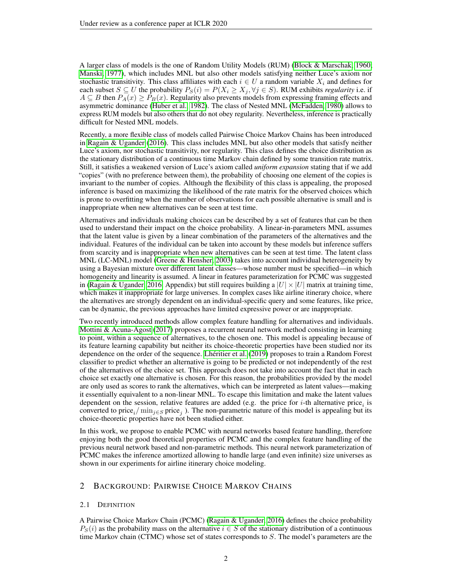A larger class of models is the one of Random Utility Models (RUM) [\(Block & Marschak, 1960;](#page-8-6) [Manski, 1977\)](#page-8-7), which includes MNL but also other models satisfying neither Luce's axiom nor stochastic transitivity. This class affiliates with each  $i \in U$  a random variable  $X_i$  and defines for each subset  $S \subseteq U$  the probability  $P_S(i) = P(X_i \ge X_j, \forall j \in S)$ . RUM exhibits *regularity* i.e. if  $A \subseteq B$  then  $P_A(x) \geq P_B(x)$ . Regularity also prevents models from expressing framing effects and asymmetric dominance [\(Huber et al., 1982\)](#page-8-5). The class of Nested MNL [\(McFadden, 1980\)](#page-8-8) allows to express RUM models but also others that do not obey regularity. Nevertheless, inference is practically difficult for Nested MNL models.

Recently, a more flexible class of models called Pairwise Choice Markov Chains has been introduced in [Ragain & Ugander](#page-8-4) [\(2016\)](#page-8-4). This class includes MNL but also other models that satisfy neither Luce's axiom, nor stochastic transitivity, nor regularity. This class defines the choice distribution as the stationary distribution of a continuous time Markov chain defined by some transition rate matrix. Still, it satisfies a weakened version of Luce's axiom called *uniform expansion* stating that if we add "copies" (with no preference between them), the probability of choosing one element of the copies is invariant to the number of copies. Although the flexibility of this class is appealing, the proposed inference is based on maximizing the likelihood of the rate matrix for the observed choices which is prone to overfitting when the number of observations for each possible alternative is small and is inappropriate when new alternatives can be seen at test time.

Alternatives and individuals making choices can be described by a set of features that can be then used to understand their impact on the choice probability. A linear-in-parameters MNL assumes that the latent value is given by a linear combination of the parameters of the alternatives and the individual. Features of the individual can be taken into account by these models but inference suffers from scarcity and is inappropriate when new alternatives can be seen at test time. The latent class MNL (LC-MNL) model [\(Greene & Hensher, 2003\)](#page-8-9) takes into account individual heterogeneity by using a Bayesian mixture over different latent classes—whose number must be specified—in which homogeneity and linearity is assumed. A linear in features parameterization for PCMC was suggested in [\(Ragain & Ugander, 2016,](#page-8-4) Appendix) but still requires building a  $|U| \times |U|$  matrix at training time, which makes it inappropriate for large universes. In complex cases like airline itinerary choice, where the alternatives are strongly dependent on an individual-specific query and some features, like price, can be dynamic, the previous approaches have limited expressive power or are inappropriate.

Two recently introduced methods allow complex feature handling for alternatives and individuals. [Mottini & Acuna-Agost](#page-8-10) [\(2017\)](#page-8-10) proposes a recurrent neural network method consisting in learning to point, within a sequence of alternatives, to the chosen one. This model is appealing because of its feature learning capability but neither its choice-theoretic properties have been studied nor its dependence on the order of the sequence. [Lhéritier et al.](#page-8-11) [\(2019\)](#page-8-11) proposes to train a Random Forest classifier to predict whether an alternative is going to be predicted or not independently of the rest of the alternatives of the choice set. This approach does not take into account the fact that in each choice set exactly one alternative is chosen. For this reason, the probabilities provided by the model are only used as scores to rank the alternatives, which can be interpreted as latent values—making it essentially equivalent to a non-linear MNL. To escape this limitation and make the latent values dependent on the session, relative features are added (e.g. the price for *i*-th alternative price<sub>*i*</sub> is converted to price<sub>i</sub>/ $\min_{j \in S}$  price<sub>j</sub>). The non-parametric nature of this model is appealing but its choice-theoretic properties have not been studied either.

In this work, we propose to enable PCMC with neural networks based feature handling, therefore enjoying both the good theoretical properties of PCMC and the complex feature handling of the previous neural network based and non-parametric methods. This neural network parameterization of PCMC makes the inference amortized allowing to handle large (and even infinite) size universes as shown in our experiments for airline itinerary choice modeling.

# 2 BACKGROUND: PAIRWISE CHOICE MARKOV CHAINS

## 2.1 DEFINITION

A Pairwise Choice Markov Chain (PCMC) [\(Ragain & Ugander, 2016\)](#page-8-4) defines the choice probability  $P_S(i)$  as the probability mass on the alternative  $i \in S$  of the stationary distribution of a continuous time Markov chain (CTMC) whose set of states corresponds to  $S$ . The model's parameters are the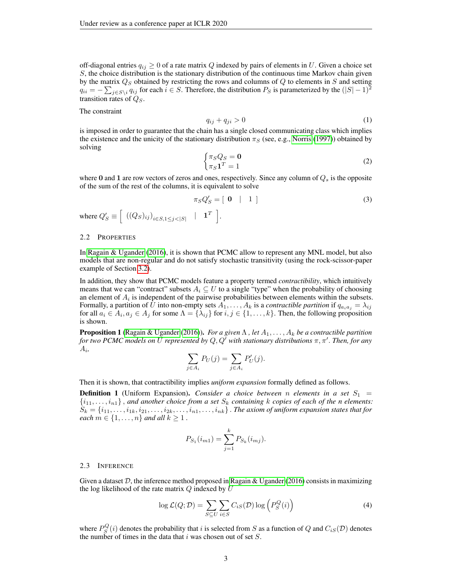off-diagonal entries  $q_{ij} \geq 0$  of a rate matrix Q indexed by pairs of elements in U. Given a choice set S, the choice distribution is the stationary distribution of the continuous time Markov chain given by the matrix  $Q_S$  obtained by restricting the rows and columns of  $Q$  to elements in  $S$  and setting  $q_{ii} = -\sum_{j \in S\setminus i} q_{ij}$  for each  $i \in S$ . Therefore, the distribution  $P_S$  is parameterized by the  $(|S| - 1)^2$ transition rates of  $Q<sub>S</sub>$ .

The constraint

<span id="page-2-0"></span>
$$
q_{ij} + q_{ji} > 0 \tag{1}
$$

is imposed in order to guarantee that the chain has a single closed communicating class which implies the existence and the unicity of the stationary distribution  $\pi<sub>S</sub>$  (see, e.g., [Norris](#page-8-12) [\(1997\)](#page-8-12)) obtained by solving

$$
\begin{cases} \pi_S Q_S = \mathbf{0} \\ \pi_S \mathbf{1}^T = 1 \end{cases} \tag{2}
$$

where 0 and 1 are row vectors of zeros and ones, respectively. Since any column of  $Q_s$  is the opposite of the sum of the rest of the columns, it is equivalent to solve

$$
\pi_S Q'_S = [ \begin{array}{ccc} 0 & | & 1 \end{array} ] \tag{3}
$$

$$
[ \begin{array}{c} \mathbf{1}^T \end{array} ].
$$

#### 2.2 PROPERTIES

where  $Q'_S \equiv \left( \left( (Q_S)_{ij} \right)_{i \in S, 1 \leq j < |S|} \right)$ 

In [Ragain & Ugander](#page-8-4) [\(2016\)](#page-8-4), it is shown that PCMC allow to represent any MNL model, but also models that are non-regular and do not satisfy stochastic transitivity (using the rock-scissor-paper example of Section [3.2\)](#page-4-0).

In addition, they show that PCMC models feature a property termed *contractibility*, which intuitively means that we can "contract" subsets  $A_i \subseteq U$  to a single "type" when the probability of choosing an element of  $A_i$  is independent of the pairwise probabilities between elements within the subsets. Formally, a partition of U into non-empty sets  $A_1, \ldots, A_k$  is a *contractible partition* if  $q_{a_i a_j} = \lambda_{ij}$ for all  $a_i \in A_i$ ,  $a_j \in A_j$  for some  $\Lambda = \{\lambda_{ij}\}\$ for  $i, j \in \{1, ..., k\}$ . Then, the following proposition is shown.

<span id="page-2-1"></span>**Proposition 1** [\(Ragain & Ugander](#page-8-4) [\(2016\)](#page-8-4)). *For a given*  $\Lambda$ , let  $A_1, \ldots, A_k$  be a contractible partition for two PCMC models on  $\bar{U}$  represented by  $Q, Q^{\bar{I}}$  with stationary distributions  $\pi, \pi^{\prime}$  . Then, for any Ai *,*

$$
\sum_{j \in A_i} P_U(j) = \sum_{j \in A_i} P'_U(j).
$$

Then it is shown, that contractibility implies *uniform expansion* formally defined as follows.

**Definition 1** (Uniform Expansion). *Consider a choice between n elements in a set*  $S_1$  =  $\{i_1, \ldots, i_{n1}\}\$ , and another choice from a set  $S_k$  containing k copies of each of the n elements:  $S_k = \{i_{11}, \ldots, i_{1k}, i_{21}, \ldots, i_{2k}, \ldots, i_{n1}, \ldots, i_{nk}\}$  . The axiom of uniform expansion states that for *each*  $m \in \{1, \ldots, n\}$  *and all*  $k \geq 1$ .

$$
P_{S_1}(i_{m1}) = \sum_{j=1}^{k} P_{S_k}(i_{mj}).
$$

#### 2.3 INFERENCE

Given a dataset  $D$ , the inference method proposed in [Ragain & Ugander](#page-8-4) [\(2016\)](#page-8-4) consists in maximizing the log likelihood of the rate matrix  $Q$  indexed by  $U$ 

$$
\log \mathcal{L}(Q; \mathcal{D}) = \sum_{S \subseteq U} \sum_{i \in S} C_{iS}(\mathcal{D}) \log \left( P_S^Q(i) \right) \tag{4}
$$

where  $P_S^Q(i)$  denotes the probability that i is selected from S as a function of Q and  $C_{iS}(\mathcal{D})$  denotes the number of times in the data that  $i$  was chosen out of set  $S$ .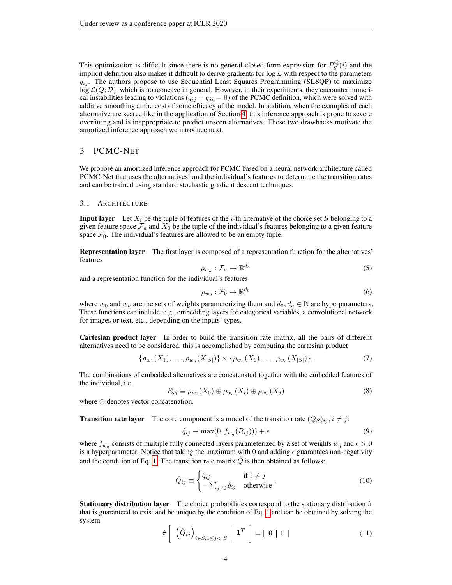This optimization is difficult since there is no general closed form expression for  $P_S^Q(i)$  and the implicit definition also makes it difficult to derive gradients for  $\log \mathcal{L}$  with respect to the parameters  $q_{ij}$ . The authors propose to use Sequential Least Squares Programming (SLSQP) to maximize  $\log \mathcal{L}(Q; \mathcal{D})$ , which is nonconcave in general. However, in their experiments, they encounter numerical instabilities leading to violations  $(q_{ij} + q_{ji} = 0)$  of the PCMC definition, which were solved with additive smoothing at the cost of some efficacy of the model. In addition, when the examples of each alternative are scarce like in the application of Section [4,](#page-5-0) this inference approach is prone to severe overfitting and is inappropriate to predict unseen alternatives. These two drawbacks motivate the amortized inference approach we introduce next.

# 3 PCMC-NET

We propose an amortized inference approach for PCMC based on a neural network architecture called PCMC-Net that uses the alternatives' and the individual's features to determine the transition rates and can be trained using standard stochastic gradient descent techniques.

#### 3.1 ARCHITECTURE

**Input layer** Let  $X_i$  be the tuple of features of the *i*-th alternative of the choice set S belonging to a given feature space  $\mathcal{F}_a$  and  $X_0$  be the tuple of the individual's features belonging to a given feature space  $\mathcal{F}_0$ . The individual's features are allowed to be an empty tuple.

Representation layer The first layer is composed of a representation function for the alternatives' features

$$
\rho_{w_a} : \mathcal{F}_a \to \mathbb{R}^{d_a} \tag{5}
$$

and a representation function for the individual's features

$$
\rho_{w_0} : \mathcal{F}_0 \to \mathbb{R}^{d_0} \tag{6}
$$

where  $w_0$  and  $w_a$  are the sets of weights parameterizing them and  $d_0, d_a \in \mathbb{N}$  are hyperparameters. These functions can include, e.g., embedding layers for categorical variables, a convolutional network for images or text, etc., depending on the inputs' types.

Cartesian product layer In order to build the transition rate matrix, all the pairs of different alternatives need to be considered, this is accomplished by computing the cartesian product

$$
\{\rho_{w_a}(X_1), \dots, \rho_{w_a}(X_{|S|})\} \times \{\rho_{w_a}(X_1), \dots, \rho_{w_a}(X_{|S|})\}.
$$
\n(7)

The combinations of embedded alternatives are concatenated together with the embedded features of the individual, i.e.

$$
R_{ij} \equiv \rho_{w_0}(X_0) \oplus \rho_{w_a}(X_i) \oplus \rho_{w_a}(X_j)
$$
\n(8)

where ⊕ denotes vector concatenation.

**Transition rate layer** The core component is a model of the transition rate  $(Q_S)_{ij}$ ,  $i \neq j$ :

$$
\hat{q}_{ij} \equiv \max(0, f_{w_q}(R_{ij})) + \epsilon \tag{9}
$$

where  $f_{w_q}$  consists of multiple fully connected layers parameterized by a set of weights  $w_q$  and  $\epsilon > 0$ is a hyperparameter. Notice that taking the maximum with 0 and adding  $\epsilon$  guarantees non-negativity and the condition of Eq. [1.](#page-2-0) The transition rate matrix  $\hat{Q}$  is then obtained as follows:

$$
\hat{Q}_{ij} \equiv \begin{cases} \hat{q}_{ij} & \text{if } i \neq j \\ -\sum_{j \neq i} \hat{q}_{ij} & \text{otherwise} \end{cases} (10)
$$

**Stationary distribution layer** The choice probabilities correspond to the stationary distribution  $\hat{\pi}$ that is guaranteed to exist and be unique by the condition of Eq. [1](#page-2-0) and can be obtained by solving the system

$$
\hat{\pi}\left[\left(\hat{Q}_{ij}\right)_{i\in S,1\leq j<|S|}\middle|\mathbf{1}^T\right]=\left[\mathbf{0}\middle|\mathbf{1}\right]
$$
\n(11)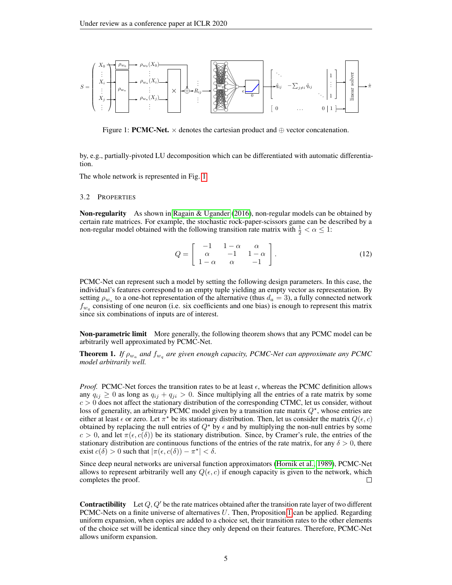

<span id="page-4-1"></span>Figure 1: **PCMC-Net.**  $\times$  denotes the cartesian product and  $\oplus$  vector concatenation.

by, e.g., partially-pivoted LU decomposition which can be differentiated with automatic differentiation.

The whole network is represented in Fig. [1.](#page-4-1)

#### <span id="page-4-0"></span>3.2 PROPERTIES

Non-regularity As shown in [Ragain & Ugander](#page-8-4) [\(2016\)](#page-8-4), non-regular models can be obtained by certain rate matrices. For example, the stochastic rock-paper-scissors game can be described by a non-regular model obtained with the following transition rate matrix with  $\frac{1}{2} < \alpha \leq 1$ :

$$
Q = \left[ \begin{array}{ccc} -1 & 1 - \alpha & \alpha \\ \alpha & -1 & 1 - \alpha \\ 1 - \alpha & \alpha & -1 \end{array} \right].\tag{12}
$$

PCMC-Net can represent such a model by setting the following design parameters. In this case, the individual's features correspond to an empty tuple yielding an empty vector as representation. By setting  $\rho_{w_a}$  to a one-hot representation of the alternative (thus  $d_a = 3$ ), a fully connected network  $f_{w_q}$  consisting of one neuron (i.e. six coefficients and one bias) is enough to represent this matrix since six combinations of inputs are of interest.

Non-parametric limit More generally, the following theorem shows that any PCMC model can be arbitrarily well approximated by PCMC-Net.

**Theorem 1.** If  $\rho_{w_a}$  and  $f_{w_q}$  are given enough capacity, PCMC-Net can approximate any PCMC *model arbitrarily well.*

*Proof.* PCMC-Net forces the transition rates to be at least  $\epsilon$ , whereas the PCMC definition allows any  $q_{ij} \geq 0$  as long as  $q_{ij} + q_{ji} > 0$ . Since multiplying all the entries of a rate matrix by some  $c > 0$  does not affect the stationary distribution of the corresponding CTMC, let us consider, without loss of generality, an arbitrary PCMC model given by a transition rate matrix  $Q^*$ , whose entries are either at least  $\epsilon$  or zero. Let  $\pi^*$  be its stationary distribution. Then, let us consider the matrix  $Q(\epsilon, c)$ obtained by replacing the null entries of  $Q^*$  by  $\epsilon$  and by multiplying the non-null entries by some  $c > 0$ , and let  $\pi(\epsilon, c(\delta))$  be its stationary distribution. Since, by Cramer's rule, the entries of the stationary distribution are continuous functions of the entries of the rate matrix, for any  $\delta > 0$ , there exist  $c(\delta) > 0$  such that  $|\pi(\epsilon, c(\delta)) - \pi^*| < \delta$ .

Since deep neural networks are universal function approximators [\(Hornik et al., 1989\)](#page-8-13), PCMC-Net allows to represent arbitrarily well any  $Q(\epsilon, c)$  if enough capacity is given to the network, which completes the proof.  $\Box$ 

**Contractibility** Let  $Q, Q'$  be the rate matrices obtained after the transition rate layer of two different PCMC-Nets on a finite universe of alternatives  $U$ . Then, Proposition [1](#page-2-1) can be applied. Regarding uniform expansion, when copies are added to a choice set, their transition rates to the other elements of the choice set will be identical since they only depend on their features. Therefore, PCMC-Net allows uniform expansion.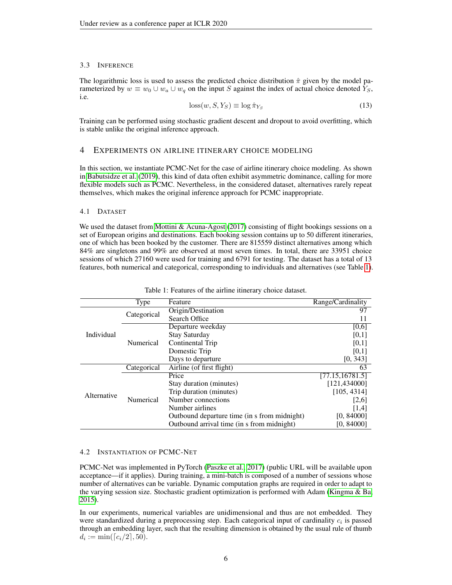#### 3.3 INFERENCE

The logarithmic loss is used to assess the predicted choice distribution  $\hat{\pi}$  given by the model parameterized by  $w \equiv w_0 \cup w_a \cup w_q$  on the input S against the index of actual choice denoted  $Y_s$ , i.e.

$$
loss(w, S, Y_S) \equiv \log \hat{\pi}_{Y_S}
$$
\n(13)

Training can be performed using stochastic gradient descent and dropout to avoid overfitting, which is stable unlike the original inference approach.

## <span id="page-5-0"></span>4 EXPERIMENTS ON AIRLINE ITINERARY CHOICE MODELING

In this section, we instantiate PCMC-Net for the case of airline itinerary choice modeling. As shown in [Babutsidze et al.](#page-7-1) [\(2019\)](#page-7-1), this kind of data often exhibit asymmetric dominance, calling for more flexible models such as PCMC. Nevertheless, in the considered dataset, alternatives rarely repeat themselves, which makes the original inference approach for PCMC inappropriate.

### 4.1 DATASET

We used the dataset from [Mottini & Acuna-Agost](#page-8-10) [\(2017\)](#page-8-10) consisting of flight bookings sessions on a set of European origins and destinations. Each booking session contains up to 50 different itineraries, one of which has been booked by the customer. There are 815559 distinct alternatives among which 84% are singletons and 99% are observed at most seven times. In total, there are 33951 choice sessions of which 27160 were used for training and 6791 for testing. The dataset has a total of 13 features, both numerical and categorical, corresponding to individuals and alternatives (see Table [1\)](#page-5-1).

|             | Type        | Feature                                      | Range/Cardinality |
|-------------|-------------|----------------------------------------------|-------------------|
| Individual  | Categorical | Origin/Destination                           | 97                |
|             |             | Search Office                                | 11                |
|             | Numerical   | Departure weekday                            | [0,6]             |
|             |             | <b>Stay Saturday</b>                         | [0,1]             |
|             |             | Continental Trip                             | [0,1]             |
|             |             | Domestic Trip                                | [0,1]             |
|             |             | Days to departure                            | [0, 343]          |
| Alternative | Categorical | Airline (of first flight)                    | 63                |
|             | Numerical   | Price                                        | [77.15, 16781.5]  |
|             |             | Stay duration (minutes)                      | [121, 434000]     |
|             |             | Trip duration (minutes)                      | [105, 4314]       |
|             |             | Number connections                           | [2,6]             |
|             |             | Number airlines                              | [1,4]             |
|             |             | Outbound departure time (in s from midnight) | [0, 84000]        |
|             |             | Outbound arrival time (in s from midnight)   | [0, 84000]        |

<span id="page-5-1"></span>

|  |  | Table 1: Features of the airline itinerary choice dataset. |  |
|--|--|------------------------------------------------------------|--|
|  |  |                                                            |  |

## 4.2 INSTANTIATION OF PCMC-NET

PCMC-Net was implemented in PyTorch [\(Paszke et al., 2017\)](#page-8-14) (public URL will be available upon acceptance—if it applies). During training, a mini-batch is composed of a number of sessions whose number of alternatives can be variable. Dynamic computation graphs are required in order to adapt to the varying session size. Stochastic gradient optimization is performed with Adam [\(Kingma & Ba,](#page-8-15) [2015\)](#page-8-15).

In our experiments, numerical variables are unidimensional and thus are not embedded. They were standardized during a preprocessing step. Each categorical input of cardinality  $c_i$  is passed through an embedding layer, such that the resulting dimension is obtained by the usual rule of thumb  $d_i := \min(\lceil c_i/2 \rceil, 50).$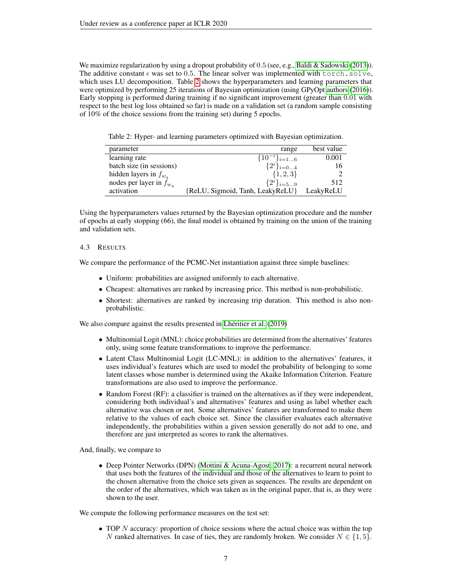We maximize regularization by using a dropout probability of 0.5 (see, e.g., [Baldi & Sadowski](#page-7-2) [\(2013\)](#page-7-2)). The additive constant  $\epsilon$  was set to 0.5. The linear solver was implemented with torch.solve, which uses LU decomposition. Table [2](#page-6-0) shows the hyperparameters and learning parameters that were optimized by performing 25 iterations of Bayesian optimization (using GPyOpt [authors](#page-7-3) [\(2016\)](#page-7-3)). Early stopping is performed during training if no significant improvement (greater than 0.01 with respect to the best log loss obtained so far) is made on a validation set (a random sample consisting of 10% of the choice sessions from the training set) during 5 epochs.

<span id="page-6-0"></span>Table 2: Hyper- and learning parameters optimized with Bayesian optimization.

| parameter                    | range                            | best value |
|------------------------------|----------------------------------|------------|
| learning rate                | $\{\overline{1}0^{-i}\}_{i=16}$  | 0.001      |
| batch size (in sessions)     | $\{2^i\}_{i=04}$                 | 16         |
| hidden layers in $f_{w_a}$   | $\{1, 2, 3\}$                    |            |
| nodes per layer in $f_{w_q}$ | $\{2^i\}_{i=59}$                 | 512        |
| activation                   | {ReLU, Sigmoid, Tanh, LeakyReLU} | LeakyReLU  |

Using the hyperparameters values returned by the Bayesian optimization procedure and the number of epochs at early stopping (66), the final model is obtained by training on the union of the training and validation sets.

#### 4.3 RESULTS

We compare the performance of the PCMC-Net instantiation against three simple baselines:

- Uniform: probabilities are assigned uniformly to each alternative.
- Cheapest: alternatives are ranked by increasing price. This method is non-probabilistic.
- Shortest: alternatives are ranked by increasing trip duration. This method is also nonprobabilistic.

We also compare against the results presented in [Lhéritier et al.](#page-8-11) [\(2019\)](#page-8-11)

- Multinomial Logit (MNL): choice probabilities are determined from the alternatives' features only, using some feature transformations to improve the performance.
- Latent Class Multinomial Logit (LC-MNL): in addition to the alternatives' features, it uses individual's features which are used to model the probability of belonging to some latent classes whose number is determined using the Akaike Information Criterion. Feature transformations are also used to improve the performance.
- Random Forest (RF): a classifier is trained on the alternatives as if they were independent, considering both individual's and alternatives' features and using as label whether each alternative was chosen or not. Some alternatives' features are transformed to make them relative to the values of each choice set. Since the classifier evaluates each alternative independently, the probabilities within a given session generally do not add to one, and therefore are just interpreted as scores to rank the alternatives.

And, finally, we compare to

• Deep Pointer Networks (DPN) [\(Mottini & Acuna-Agost, 2017\)](#page-8-10): a recurrent neural network that uses both the features of the individual and those of the alternatives to learn to point to the chosen alternative from the choice sets given as sequences. The results are dependent on the order of the alternatives, which was taken as in the original paper, that is, as they were shown to the user.

We compute the following performance measures on the test set:

• TOP N accuracy: proportion of choice sessions where the actual choice was within the top N ranked alternatives. In case of ties, they are randomly broken. We consider  $N \in \{1, 5\}$ .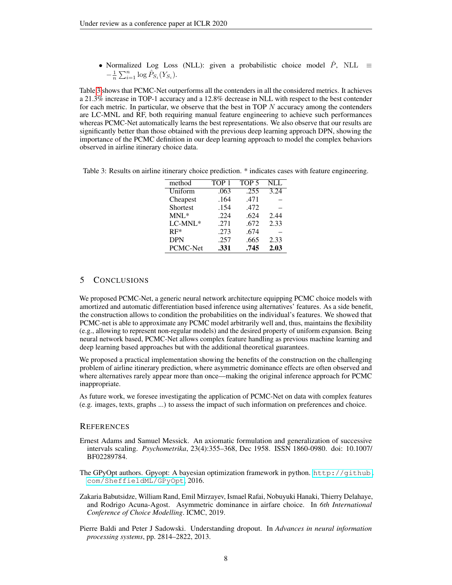• Normalized Log Loss (NLL): given a probabilistic choice model  $\hat{P}$ , NLL  $\equiv$  $-\frac{1}{n}\sum_{i=1}^{n}\log \hat{P}_{S_i}(Y_{S_i}).$ 

Table [3](#page-7-4) shows that PCMC-Net outperforms all the contenders in all the considered metrics. It achieves a 21.3% increase in TOP-1 accuracy and a 12.8% decrease in NLL with respect to the best contender for each metric. In particular, we observe that the best in TOP  $N$  accuracy among the contenders are LC-MNL and RF, both requiring manual feature engineering to achieve such performances whereas PCMC-Net automatically learns the best representations. We also observe that our results are significantly better than those obtained with the previous deep learning approach DPN, showing the importance of the PCMC definition in our deep learning approach to model the complex behaviors observed in airline itinerary choice data.

<span id="page-7-4"></span>Table 3: Results on airline itinerary choice prediction. \* indicates cases with feature engineering.

| method     | TOP <sub>1</sub> | TOP <sub>5</sub> | <b>NLL</b> |
|------------|------------------|------------------|------------|
| Uniform    | .063             | .255             | 3.24       |
| Cheapest   | .164             | .471             |            |
| Shortest   | .154             | .472             |            |
| $MNL^*$    | .224             | .624             | 2.44       |
| LC-MNL*    | .271             | .672             | 2.33       |
| $RF*$      | .273             | .674             |            |
| <b>DPN</b> | .257             | .665             | 2.33       |
| PCMC-Net   | .331             | .745             | 2.03       |

# 5 CONCLUSIONS

We proposed PCMC-Net, a generic neural network architecture equipping PCMC choice models with amortized and automatic differentiation based inference using alternatives' features. As a side benefit, the construction allows to condition the probabilities on the individual's features. We showed that PCMC-net is able to approximate any PCMC model arbitrarily well and, thus, maintains the flexibility (e.g., allowing to represent non-regular models) and the desired property of uniform expansion. Being neural network based, PCMC-Net allows complex feature handling as previous machine learning and deep learning based approaches but with the additional theoretical guarantees.

We proposed a practical implementation showing the benefits of the construction on the challenging problem of airline itinerary prediction, where asymmetric dominance effects are often observed and where alternatives rarely appear more than once—making the original inference approach for PCMC inappropriate.

As future work, we foresee investigating the application of PCMC-Net on data with complex features (e.g. images, texts, graphs ...) to assess the impact of such information on preferences and choice.

## **REFERENCES**

- <span id="page-7-0"></span>Ernest Adams and Samuel Messick. An axiomatic formulation and generalization of successive intervals scaling. *Psychometrika*, 23(4):355–368, Dec 1958. ISSN 1860-0980. doi: 10.1007/ BF02289784.
- <span id="page-7-3"></span>The GPyOpt authors. Gpyopt: A bayesian optimization framework in python. [http://github.](http://github.com/SheffieldML/GPyOpt) [com/SheffieldML/GPyOpt](http://github.com/SheffieldML/GPyOpt), 2016.
- <span id="page-7-1"></span>Zakaria Babutsidze, William Rand, Emil Mirzayev, Ismael Rafai, Nobuyuki Hanaki, Thierry Delahaye, and Rodrigo Acuna-Agost. Asymmetric dominance in airfare choice. In *6th International Conference of Choice Modelling*. ICMC, 2019.
- <span id="page-7-2"></span>Pierre Baldi and Peter J Sadowski. Understanding dropout. In *Advances in neural information processing systems*, pp. 2814–2822, 2013.